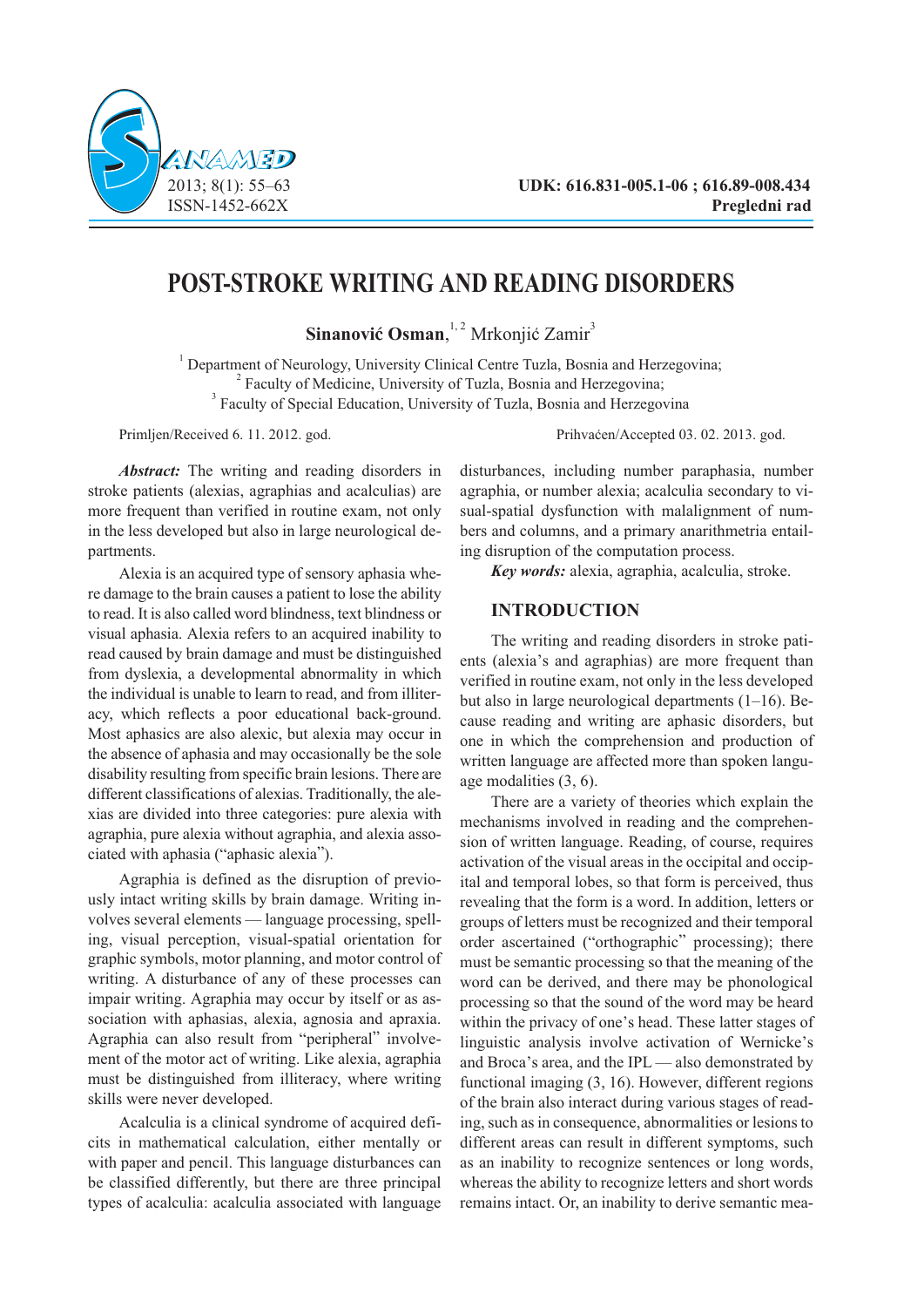



# **POST-STROKE WRITING AND READING DISORDERS**

**Sinanović Osman**, <sup>1, 2</sup> Mrkonjić Zamir<sup>3</sup>

<sup>1</sup> Department of Neurology, University Clinical Centre Tuzla, Bosnia and Herzegovina; <sup>2</sup> Faculty of Medicine, University of Tuzla, Bosnia and Herzegovina: <sup>3</sup> Faculty of Special Education, University of Tuzla, Bosnia and Herzegovina

Primljen/Received 6. 11. 2012. god. Prihvaćen/Accepted 03. 02. 2013. god.

*Abstract:* The writing and reading disorders in stroke patients (alexias, agraphias and acalculias) are more frequent than verified in routine exam, not only in the less developed but also in large neurological departments.

Alexia is an acquired type of sensory aphasia where damage to the brain causes a patient to lose the ability to read. It is also called word blindness, text blindness or visual aphasia. Alexia refers to an acquired inability to read caused by brain damage and must be distinguished from dyslexia, a developmental abnormality in which the individual is unable to learn to read, and from illiteracy, which reflects a poor educational back-ground. Most aphasics are also alexic, but alexia may occur in the absence of aphasia and may occasionally be the sole disability resulting from specific brain lesions. There are different classifications of alexias. Traditionally, the alexias are divided into three categories: pure alexia with agraphia, pure alexia without agraphia, and alexia associated with aphasia ("aphasic alexia").

Agraphia is defined as the disruption of previously intact writing skills by brain damage. Writing involves several elements — language processing, spelling, visual perception, visual-spatial orientation for graphic symbols, motor planning, and motor control of writing. A disturbance of any of these processes can impair writing. Agraphia may occur by itself or as association with aphasias, alexia, agnosia and apraxia. Agraphia can also result from "peripheral" involvement of the motor act of writing. Like alexia, agraphia must be distinguished from illiteracy, where writing skills were never developed.

Acalculia is a clinical syndrome of acquired deficits in mathematical calculation, either mentally or with paper and pencil. This language disturbances can be classified differently, but there are three principal types of acalculia: acalculia associated with language disturbances, including number paraphasia, number agraphia, or number alexia; acalculia secondary to visual-spatial dysfunction with malalignment of numbers and columns, and a primary anarithmetria entailing disruption of the computation process.

*Key words:* alexia, agraphia, acalculia, stroke.

# **INTRODUCTION**

The writing and reading disorders in stroke patients (alexia's and agraphias) are more frequent than verified in routine exam, not only in the less developed but also in large neurological departments (1–16). Because reading and writing are aphasic disorders, but one in which the comprehension and production of written language are affected more than spoken language modalities (3, 6).

There are a variety of theories which explain the mechanisms involved in reading and the comprehension of written language. Reading, of course, requires activation of the visual areas in the occipital and occipital and temporal lobes, so that form is perceived, thus revealing that the form is a word. In addition, letters or groups of letters must be recognized and their temporal order ascertained ("orthographic" processing); there must be semantic processing so that the meaning of the word can be derived, and there may be phonological processing so that the sound of the word may be heard within the privacy of one's head. These latter stages of linguistic analysis involve activation of Wernicke's and Broca's area, and the IPL — also demonstrated by functional imaging (3, 16). However, different regions of the brain also interact during various stages of reading, such as in consequence, abnormalities or lesions to different areas can result in different symptoms, such as an inability to recognize sentences or long words, whereas the ability to recognize letters and short words remains intact. Or, an inability to derive semantic mea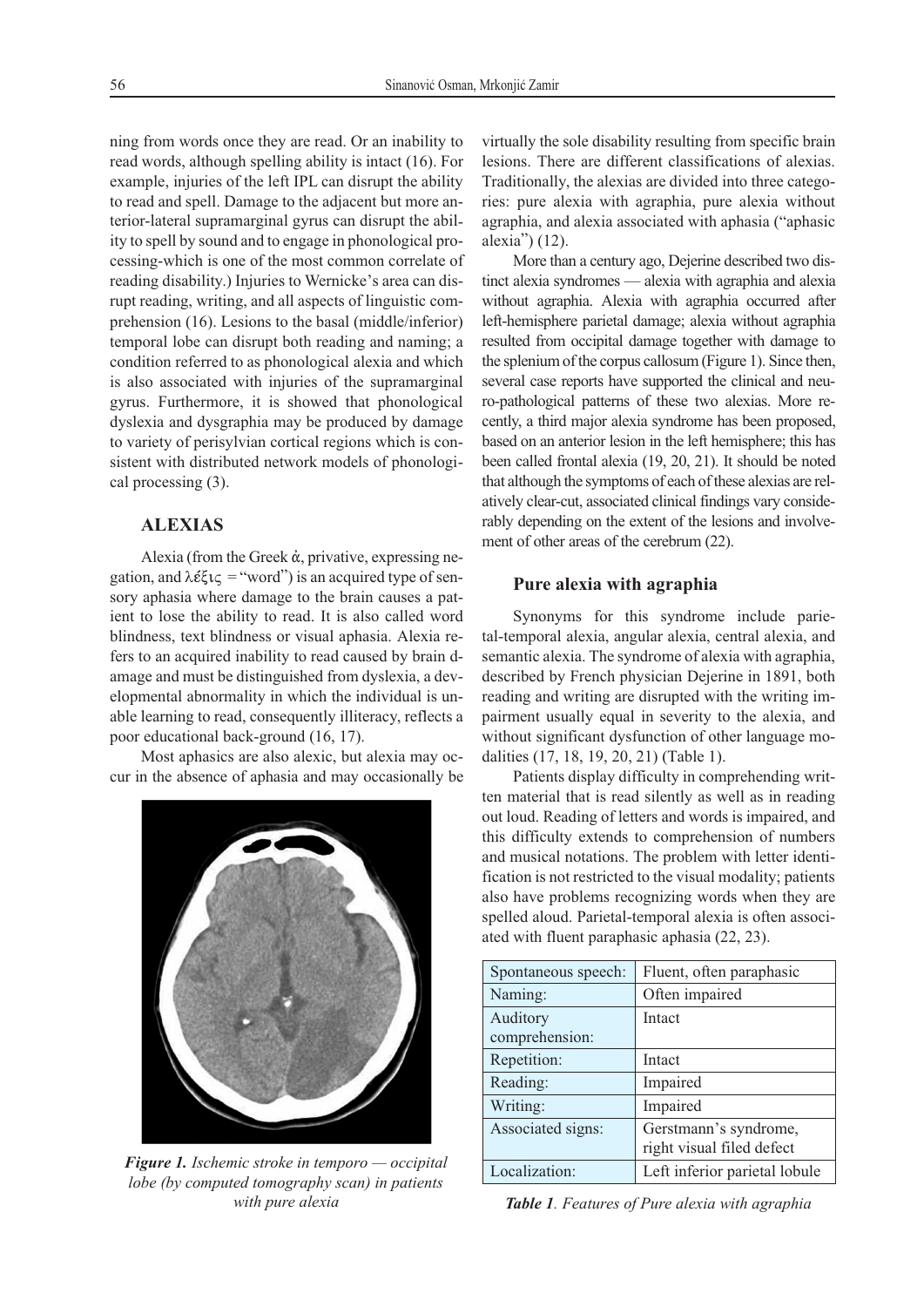ning from words once they are read. Or an inability to read words, although spelling ability is intact (16). For example, injuries of the left IPL can disrupt the ability to read and spell. Damage to the adjacent but more anterior-lateral supramarginal gyrus can disrupt the ability to spell by sound and to engage in phonological processing-which is one of the most common correlate of reading disability.) Injuries to Wernicke's area can disrupt reading, writing, and all aspects of linguistic comprehension (16). Lesions to the basal (middle/inferior) temporal lobe can disrupt both reading and naming; a condition referred to as phonological alexia and which is also associated with injuries of the supramarginal gyrus. Furthermore, it is showed that phonological dyslexia and dysgraphia may be produced by damage to variety of perisylvian cortical regions which is consistent with distributed network models of phonological processing (3).

# **ALEXIAS**

Alexia (from the Greek ά, privative, expressing negation, and  $\lambda \xi \zeta \zeta =$  "word") is an acquired type of sensory aphasia where damage to the brain causes a patient to lose the ability to read. It is also called word blindness, text blindness or visual aphasia. Alexia refers to an acquired inability to read caused by brain damage and must be distinguished from dyslexia, a developmental abnormality in which the individual is unable learning to read, consequently illiteracy, reflects a poor educational back-ground (16, 17).

Most aphasics are also alexic, but alexia may occur in the absence of aphasia and may occasionally be



*Figure 1. Ischemic stroke in temporo — occipital lobe (by computed tomography scan) in patients with pure alexia*

virtually the sole disability resulting from specific brain lesions. There are different classifications of alexias. Traditionally, the alexias are divided into three categories: pure alexia with agraphia, pure alexia without agraphia, and alexia associated with aphasia ("aphasic alexia") (12).

More than a century ago, Dejerine described two distinct alexia syndromes — alexia with agraphia and alexia without agraphia. Alexia with agraphia occurred after left-hemisphere parietal damage; alexia without agraphia resulted from occipital damage together with damage to the splenium of the corpus callosum (Figure 1). Since then, several case reports have supported the clinical and neuro-pathological patterns of these two alexias. More recently, a third major alexia syndrome has been proposed, based on an anterior lesion in the left hemisphere; this has been called frontal alexia (19, 20, 21). It should be noted that although the symptoms of each of these alexias are relatively clear-cut, associated clinical findings vary considerably depending on the extent of the lesions and involvement of other areas of the cerebrum (22).

## **Pure alexia with agraphia**

Synonyms for this syndrome include parietal-temporal alexia, angular alexia, central alexia, and semantic alexia. The syndrome of alexia with agraphia, described by French physician Dejerine in 1891, both reading and writing are disrupted with the writing impairment usually equal in severity to the alexia, and without significant dysfunction of other language modalities (17, 18, 19, 20, 21) (Table 1).

Patients display difficulty in comprehending written material that is read silently as well as in reading out loud. Reading of letters and words is impaired, and this difficulty extends to comprehension of numbers and musical notations. The problem with letter identification is not restricted to the visual modality; patients also have problems recognizing words when they are spelled aloud. Parietal-temporal alexia is often associated with fluent paraphasic aphasia (22, 23).

| Spontaneous speech: | Fluent, often paraphasic      |
|---------------------|-------------------------------|
| Naming:             | Often impaired                |
| Auditory            | Intact                        |
| comprehension:      |                               |
| Repetition:         | Intact                        |
| Reading:            | Impaired                      |
| Writing:            | Impaired                      |
| Associated signs:   | Gerstmann's syndrome,         |
|                     | right visual filed defect     |
| Localization:       | Left inferior parietal lobule |

*Table 1. Features of Pure alexia with agraphia*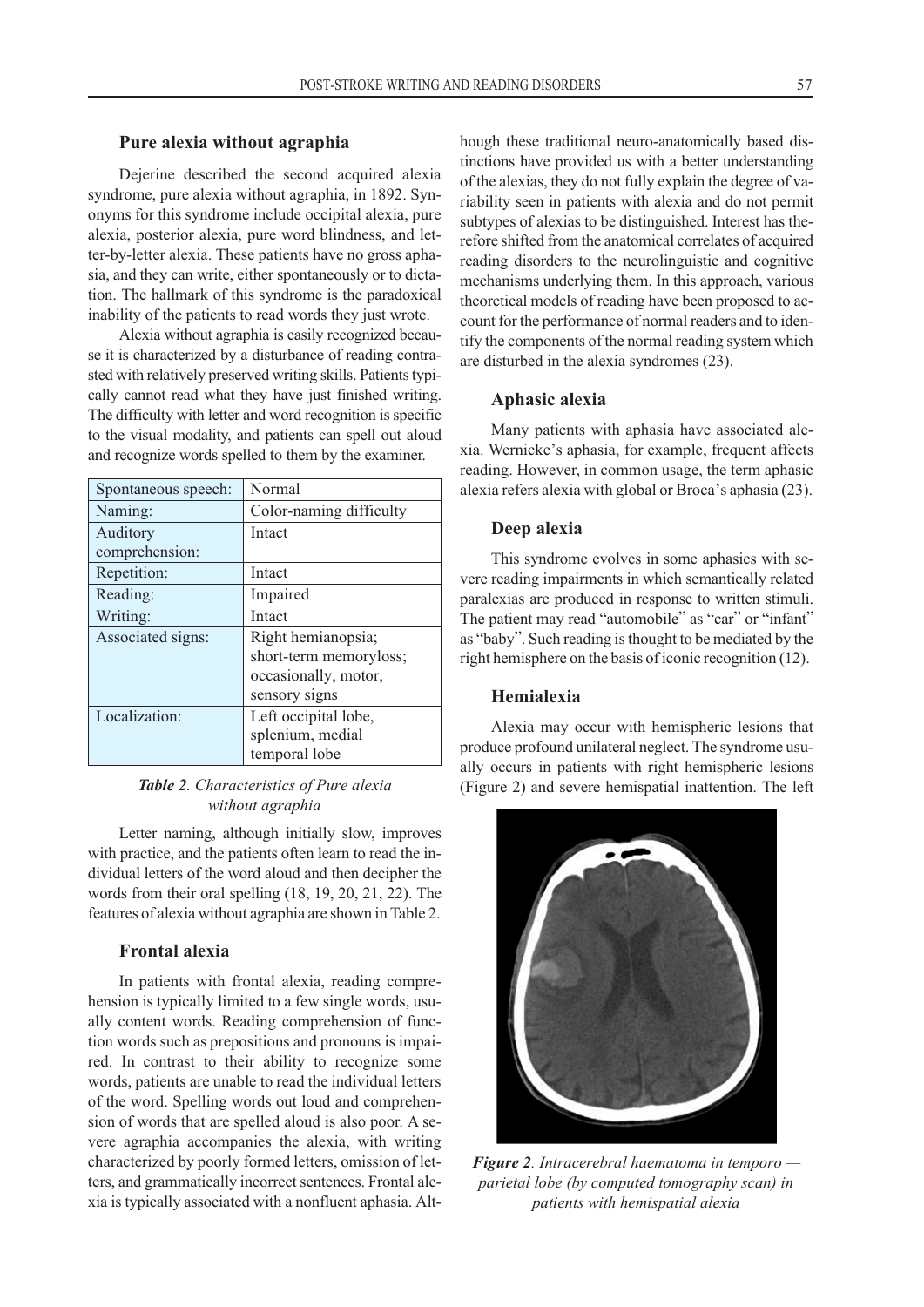#### **Pure alexia without agraphia**

Dejerine described the second acquired alexia syndrome, pure alexia without agraphia, in 1892. Synonyms for this syndrome include occipital alexia, pure alexia, posterior alexia, pure word blindness, and letter-by-letter alexia. These patients have no gross aphasia, and they can write, either spontaneously or to dictation. The hallmark of this syndrome is the paradoxical inability of the patients to read words they just wrote.

Alexia without agraphia is easily recognized because it is characterized by a disturbance of reading contrasted with relatively preserved writing skills. Patients typically cannot read what they have just finished writing. The difficulty with letter and word recognition is specific to the visual modality, and patients can spell out aloud and recognize words spelled to them by the examiner.

| Spontaneous speech: | Normal                  |
|---------------------|-------------------------|
| Naming:             | Color-naming difficulty |
| Auditory            | Intact                  |
| comprehension:      |                         |
| Repetition:         | Intact                  |
| Reading:            | Impaired                |
| Writing:            | Intact                  |
| Associated signs:   | Right hemianopsia;      |
|                     | short-term memoryloss;  |
|                     | occasionally, motor,    |
|                     | sensory signs           |
| Localization:       | Left occipital lobe,    |
|                     | splenium, medial        |
|                     | temporal lobe           |

## *Table 2. Characteristics of Pure alexia without agraphia*

Letter naming, although initially slow, improves with practice, and the patients often learn to read the individual letters of the word aloud and then decipher the words from their oral spelling (18, 19, 20, 21, 22). The features of alexia without agraphia are shown in Table 2.

# **Frontal alexia**

In patients with frontal alexia, reading comprehension is typically limited to a few single words, usually content words. Reading comprehension of function words such as prepositions and pronouns is impaired. In contrast to their ability to recognize some words, patients are unable to read the individual letters of the word. Spelling words out loud and comprehension of words that are spelled aloud is also poor. A severe agraphia accompanies the alexia, with writing characterized by poorly formed letters, omission of letters, and grammatically incorrect sentences. Frontal alexia is typically associated with a nonfluent aphasia. Although these traditional neuro-anatomically based distinctions have provided us with a better understanding of the alexias, they do not fully explain the degree of variability seen in patients with alexia and do not permit subtypes of alexias to be distinguished. Interest has therefore shifted from the anatomical correlates of acquired reading disorders to the neurolinguistic and cognitive mechanisms underlying them. In this approach, various theoretical models of reading have been proposed to account for the performance of normal readers and to identify the components of the normal reading system which are disturbed in the alexia syndromes (23).

#### **Aphasic alexia**

Many patients with aphasia have associated alexia. Wernicke's aphasia, for example, frequent affects reading. However, in common usage, the term aphasic alexia refers alexia with global or Broca's aphasia (23).

#### **Deep alexia**

This syndrome evolves in some aphasics with severe reading impairments in which semantically related paralexias are produced in response to written stimuli. The patient may read "automobile" as "car" or "infant" as "baby". Such reading is thought to be mediated by the right hemisphere on the basis of iconic recognition (12).

#### **Hemialexia**

Alexia may occur with hemispheric lesions that produce profound unilateral neglect. The syndrome usually occurs in patients with right hemispheric lesions (Figure 2) and severe hemispatial inattention. The left



*Figure 2. Intracerebral haematoma in temporo parietal lobe (by computed tomography scan) in patients with hemispatial alexia*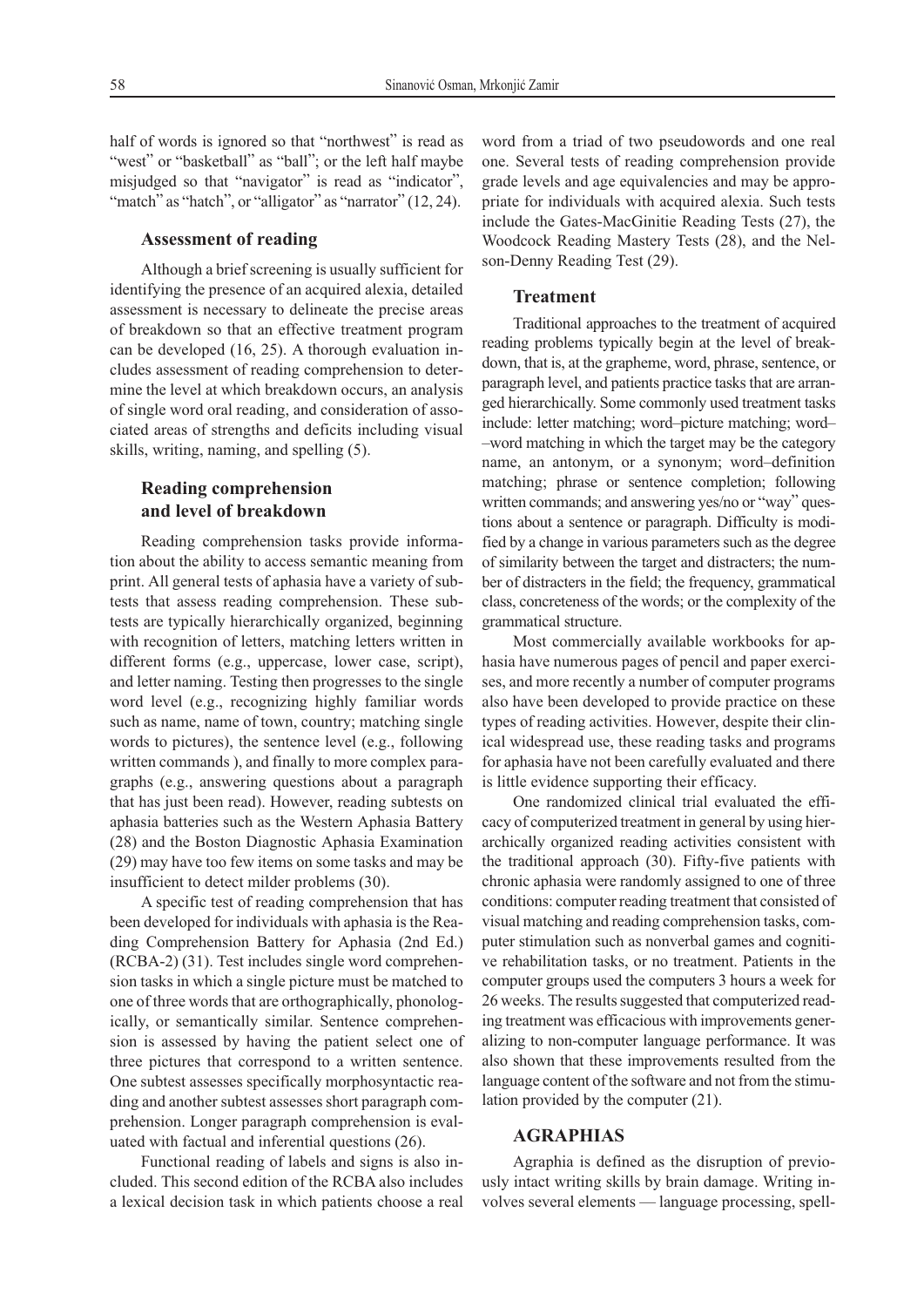half of words is ignored so that "northwest" is read as "west" or "basketball" as "ball"; or the left half maybe misjudged so that "navigator" is read as "indicator", "match" as "hatch", or "alligator" as "narrator" (12, 24).

#### **Assessment of reading**

Although a brief screening is usually sufficient for identifying the presence of an acquired alexia, detailed assessment is necessary to delineate the precise areas of breakdown so that an effective treatment program can be developed (16, 25). A thorough evaluation includes assessment of reading comprehension to determine the level at which breakdown occurs, an analysis of single word oral reading, and consideration of associated areas of strengths and deficits including visual skills, writing, naming, and spelling (5).

# **Reading comprehension and level of breakdown**

Reading comprehension tasks provide information about the ability to access semantic meaning from print. All general tests of aphasia have a variety of subtests that assess reading comprehension. These subtests are typically hierarchically organized, beginning with recognition of letters, matching letters written in different forms (e.g., uppercase, lower case, script), and letter naming. Testing then progresses to the single word level (e.g., recognizing highly familiar words such as name, name of town, country; matching single words to pictures), the sentence level (e.g., following written commands ), and finally to more complex paragraphs (e.g., answering questions about a paragraph that has just been read). However, reading subtests on aphasia batteries such as the Western Aphasia Battery (28) and the Boston Diagnostic Aphasia Examination (29) may have too few items on some tasks and may be insufficient to detect milder problems (30).

A specific test of reading comprehension that has been developed for individuals with aphasia is the Reading Comprehension Battery for Aphasia (2nd Ed.) (RCBA-2) (31). Test includes single word comprehension tasks in which a single picture must be matched to one of three words that are orthographically, phonologically, or semantically similar. Sentence comprehension is assessed by having the patient select one of three pictures that correspond to a written sentence. One subtest assesses specifically morphosyntactic reading and another subtest assesses short paragraph comprehension. Longer paragraph comprehension is evaluated with factual and inferential questions (26).

Functional reading of labels and signs is also included. This second edition of the RCBA also includes a lexical decision task in which patients choose a real

word from a triad of two pseudowords and one real one. Several tests of reading comprehension provide grade levels and age equivalencies and may be appropriate for individuals with acquired alexia. Such tests include the Gates-MacGinitie Reading Tests (27), the Woodcock Reading Mastery Tests (28), and the Nelson-Denny Reading Test (29).

# **Treatment**

Traditional approaches to the treatment of acquired reading problems typically begin at the level of breakdown, that is, at the grapheme, word, phrase, sentence, or paragraph level, and patients practice tasks that are arranged hierarchically. Some commonly used treatment tasks include: letter matching; word–picture matching; word– –word matching in which the target may be the category name, an antonym, or a synonym; word–definition matching; phrase or sentence completion; following written commands; and answering yes/no or "way" questions about a sentence or paragraph. Difficulty is modified by a change in various parameters such as the degree of similarity between the target and distracters; the number of distracters in the field; the frequency, grammatical class, concreteness of the words; or the complexity of the grammatical structure.

Most commercially available workbooks for aphasia have numerous pages of pencil and paper exercises, and more recently a number of computer programs also have been developed to provide practice on these types of reading activities. However, despite their clinical widespread use, these reading tasks and programs for aphasia have not been carefully evaluated and there is little evidence supporting their efficacy.

One randomized clinical trial evaluated the efficacy of computerized treatment in general by using hierarchically organized reading activities consistent with the traditional approach (30). Fifty-five patients with chronic aphasia were randomly assigned to one of three conditions: computer reading treatment that consisted of visual matching and reading comprehension tasks, computer stimulation such as nonverbal games and cognitive rehabilitation tasks, or no treatment. Patients in the computer groups used the computers 3 hours a week for 26 weeks. The results suggested that computerized reading treatment was efficacious with improvements generalizing to non-computer language performance. It was also shown that these improvements resulted from the language content of the software and not from the stimulation provided by the computer (21).

#### **AGRAPHIAS**

Agraphia is defined as the disruption of previously intact writing skills by brain damage. Writing involves several elements — language processing, spell-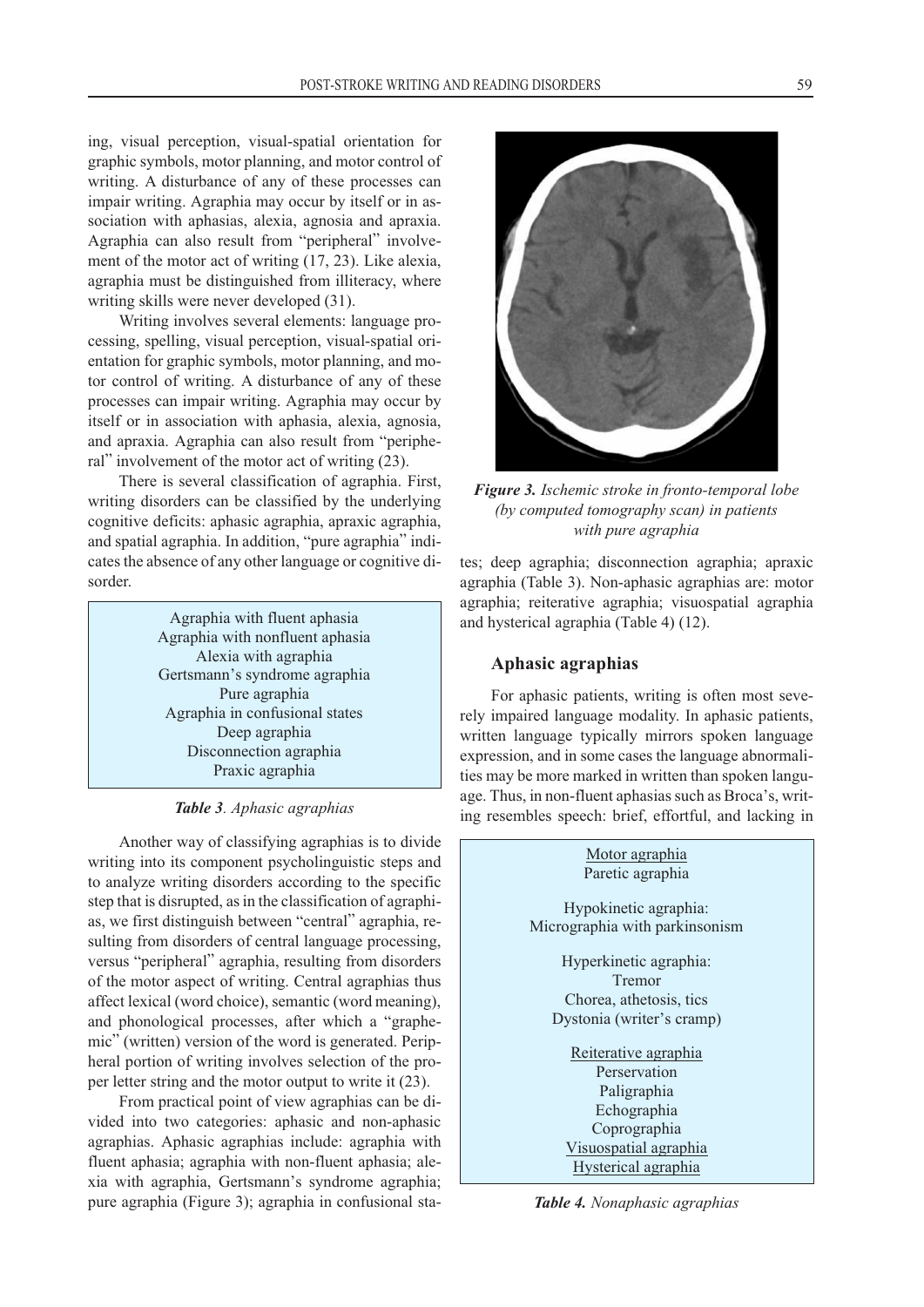ing, visual perception, visual-spatial orientation for graphic symbols, motor planning, and motor control of writing. A disturbance of any of these processes can impair writing. Agraphia may occur by itself or in association with aphasias, alexia, agnosia and apraxia. Agraphia can also result from "peripheral" involvement of the motor act of writing (17, 23). Like alexia, agraphia must be distinguished from illiteracy, where writing skills were never developed (31).

Writing involves several elements: language processing, spelling, visual perception, visual-spatial orientation for graphic symbols, motor planning, and motor control of writing. A disturbance of any of these processes can impair writing. Agraphia may occur by itself or in association with aphasia, alexia, agnosia, and apraxia. Agraphia can also result from "peripheral" involvement of the motor act of writing (23).

There is several classification of agraphia. First, writing disorders can be classified by the underlying cognitive deficits: aphasic agraphia, apraxic agraphia, and spatial agraphia. In addition, "pure agraphia" indicates the absence of any other language or cognitive disorder.

> Agraphia with fluent aphasia Agraphia with nonfluent aphasia Alexia with agraphia Gertsmann's syndrome agraphia Pure agraphia Agraphia in confusional states Deep agraphia Disconnection agraphia Praxic agraphia

#### *Table 3. Aphasic agraphias*

Another way of classifying agraphias is to divide writing into its component psycholinguistic steps and to analyze writing disorders according to the specific step that is disrupted, as in the classification of agraphias, we first distinguish between "central" agraphia, resulting from disorders of central language processing, versus "peripheral" agraphia, resulting from disorders of the motor aspect of writing. Central agraphias thus affect lexical (word choice), semantic (word meaning), and phonological processes, after which a "graphemic" (written) version of the word is generated. Peripheral portion of writing involves selection of the proper letter string and the motor output to write it (23).

From practical point of view agraphias can be divided into two categories: aphasic and non-aphasic agraphias. Aphasic agraphias include: agraphia with fluent aphasia; agraphia with non-fluent aphasia; alexia with agraphia, Gertsmann's syndrome agraphia; pure agraphia (Figure 3); agraphia in confusional sta-

*Figure 3. Ischemic stroke in fronto-temporal lobe (by computed tomography scan) in patients*

tes; deep agraphia; disconnection agraphia; apraxic agraphia (Table 3). Non-aphasic agraphias are: motor agraphia; reiterative agraphia; visuospatial agraphia and hysterical agraphia (Table 4) (12).

*with pure agraphia*

#### **Aphasic agraphias**

For aphasic patients, writing is often most severely impaired language modality. In aphasic patients, written language typically mirrors spoken language expression, and in some cases the language abnormalities may be more marked in written than spoken language. Thus, in non-fluent aphasias such as Broca's, writing resembles speech: brief, effortful, and lacking in



*Table 4. Nonaphasic agraphias*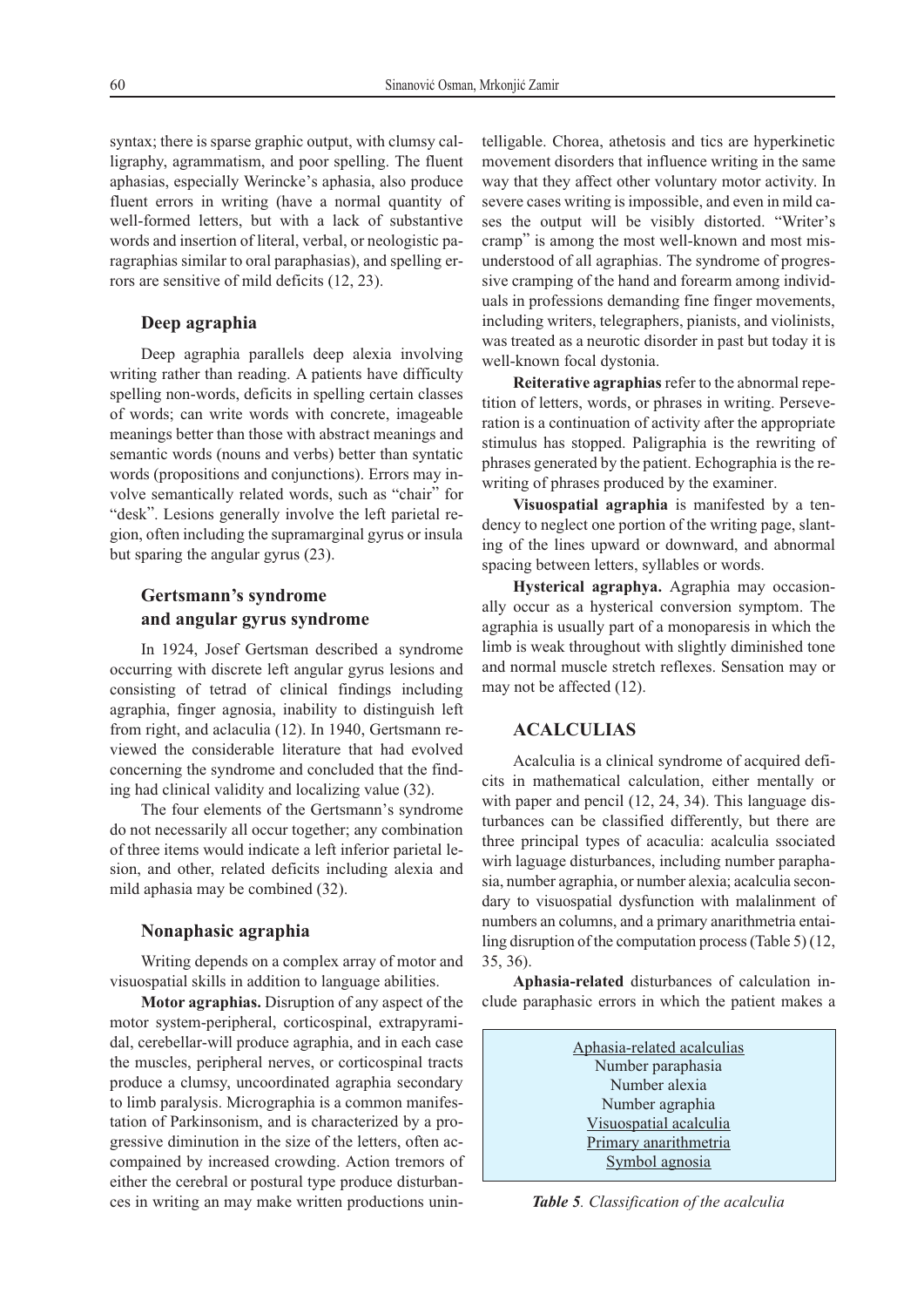syntax; there is sparse graphic output, with clumsy calligraphy, agrammatism, and poor spelling. The fluent aphasias, especially Werincke's aphasia, also produce fluent errors in writing (have a normal quantity of well-formed letters, but with a lack of substantive words and insertion of literal, verbal, or neologistic paragraphias similar to oral paraphasias), and spelling errors are sensitive of mild deficits (12, 23).

### **Deep agraphia**

Deep agraphia parallels deep alexia involving writing rather than reading. A patients have difficulty spelling non-words, deficits in spelling certain classes of words; can write words with concrete, imageable meanings better than those with abstract meanings and semantic words (nouns and verbs) better than syntatic words (propositions and conjunctions). Errors may involve semantically related words, such as "chair" for "desk". Lesions generally involve the left parietal region, often including the supramarginal gyrus or insula but sparing the angular gyrus (23).

# **Gertsmann's syndrome and angular gyrus syndrome**

In 1924, Josef Gertsman described a syndrome occurring with discrete left angular gyrus lesions and consisting of tetrad of clinical findings including agraphia, finger agnosia, inability to distinguish left from right, and aclaculia (12). In 1940, Gertsmann reviewed the considerable literature that had evolved concerning the syndrome and concluded that the finding had clinical validity and localizing value (32).

The four elements of the Gertsmann's syndrome do not necessarily all occur together; any combination of three items would indicate a left inferior parietal lesion, and other, related deficits including alexia and mild aphasia may be combined (32).

#### **Nonaphasic agraphia**

Writing depends on a complex array of motor and visuospatial skills in addition to language abilities.

**Motor agraphias.** Disruption of any aspect of the motor system-peripheral, corticospinal, extrapyramidal, cerebellar-will produce agraphia, and in each case the muscles, peripheral nerves, or corticospinal tracts produce a clumsy, uncoordinated agraphia secondary to limb paralysis. Micrographia is a common manifestation of Parkinsonism, and is characterized by a progressive diminution in the size of the letters, often accompained by increased crowding. Action tremors of either the cerebral or postural type produce disturbances in writing an may make written productions unintelligable. Chorea, athetosis and tics are hyperkinetic movement disorders that influence writing in the same way that they affect other voluntary motor activity. In severe cases writing is impossible, and even in mild cases the output will be visibly distorted. "Writer's cramp" is among the most well-known and most misunderstood of all agraphias. The syndrome of progressive cramping of the hand and forearm among individuals in professions demanding fine finger movements, including writers, telegraphers, pianists, and violinists, was treated as a neurotic disorder in past but today it is well-known focal dystonia.

**Reiterative agraphias**refer to the abnormal repetition of letters, words, or phrases in writing. Perseveration is a continuation of activity after the appropriate stimulus has stopped. Paligraphia is the rewriting of phrases generated by the patient. Echographia is the rewriting of phrases produced by the examiner.

**Visuospatial agraphia** is manifested by a tendency to neglect one portion of the writing page, slanting of the lines upward or downward, and abnormal spacing between letters, syllables or words.

**Hysterical agraphya.** Agraphia may occasionally occur as a hysterical conversion symptom. The agraphia is usually part of a monoparesis in which the limb is weak throughout with slightly diminished tone and normal muscle stretch reflexes. Sensation may or may not be affected (12).

# **ACALCULIAS**

Acalculia is a clinical syndrome of acquired deficits in mathematical calculation, either mentally or with paper and pencil (12, 24, 34). This language disturbances can be classified differently, but there are three principal types of acaculia: acalculia ssociated wirh laguage disturbances, including number paraphasia, number agraphia, or number alexia; acalculia secondary to visuospatial dysfunction with malalinment of numbers an columns, and a primary anarithmetria entailing disruption of the computation process (Table 5) (12, 35, 36).

**Aphasia-related** disturbances of calculation include paraphasic errors in which the patient makes a

> Aphasia-related acalculias Number paraphasia Number alexia Number agraphia Visuospatial acalculia Primary anarithmetria Symbol agnosia

*Table 5. Classification of the acalculia*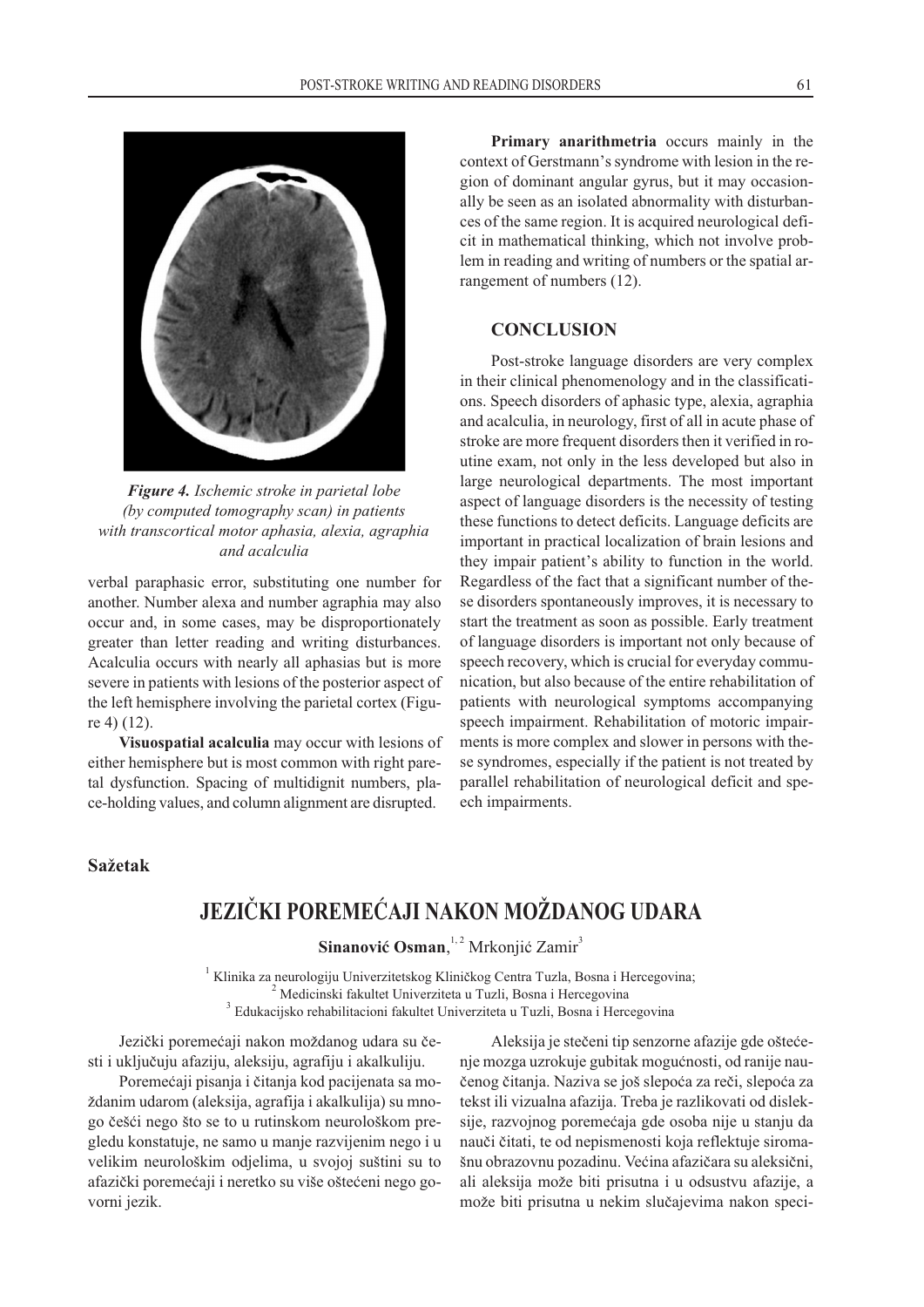

*Figure 4. Ischemic stroke in parietal lobe (by computed tomography scan) in patients with transcortical motor aphasia, alexia, agraphia and acalculia*

verbal paraphasic error, substituting one number for another. Number alexa and number agraphia may also occur and, in some cases, may be disproportionately greater than letter reading and writing disturbances. Acalculia occurs with nearly all aphasias but is more severe in patients with lesions of the posterior aspect of the left hemisphere involving the parietal cortex (Figure 4) (12).

**Visuospatial acalculia** may occur with lesions of either hemisphere but is most common with right paretal dysfunction. Spacing of multidignit numbers, place-holding values, and column alignment are disrupted.

**Primary anarithmetria** occurs mainly in the context of Gerstmann's syndrome with lesion in the region of dominant angular gyrus, but it may occasionally be seen as an isolated abnormality with disturbances of the same region. It is acquired neurological deficit in mathematical thinking, which not involve problem in reading and writing of numbers or the spatial arrangement of numbers (12).

# **CONCLUSION**

Post-stroke language disorders are very complex in their clinical phenomenology and in the classifications. Speech disorders of aphasic type, alexia, agraphia and acalculia, in neurology, first of all in acute phase of stroke are more frequent disorders then it verified in routine exam, not only in the less developed but also in large neurological departments. The most important aspect of language disorders is the necessity of testing these functions to detect deficits. Language deficits are important in practical localization of brain lesions and they impair patient's ability to function in the world. Regardless of the fact that a significant number of these disorders spontaneously improves, it is necessary to start the treatment as soon as possible. Early treatment of language disorders is important not only because of speech recovery, which is crucial for everyday communication, but also because of the entire rehabilitation of patients with neurological symptoms accompanying speech impairment. Rehabilitation of motoric impairments is more complex and slower in persons with these syndromes, especially if the patient is not treated by parallel rehabilitation of neurological deficit and speech impairments.

### **Sa`etak**

# **JEZIČKI POREMEĆAJI NAKON MOŽDANOG UDARA**

**Sinanović Osman**,<sup>1,2</sup> Mrkonjić Zamir<sup>3</sup>

 $1$  Klinika za neurologiju Univerzitetskog Kliničkog Centra Tuzla, Bosna i Hercegovina; <sup>2</sup> Medicinski fakultet Univerziteta u Tuzli, Bosna i Hercegovina <sup>3</sup> Edukacijsko rehabilitacioni fakultet Univerziteta u Tuzli, Bosna i Hercegovina

Jezički poremećaji nakon moždanog udara su česti i uključuju afaziju, aleksiju, agrafiju i akalkuliju.

Poremećaji pisanja i čitanja kod pacijenata sa moždanim udarom (aleksija, agrafija i akalkulija) su mnogo češći nego što se to u rutinskom neurološkom pregledu konstatuje, ne samo u manje razvijenim nego i u velikim neurološkim odjelima, u svojoj suštini su to afazički poremećaji i neretko su više oštećeni nego govorni jezik.

Aleksija je stečeni tip senzorne afazije gde oštećenje mozga uzrokuje gubitak mogućnosti, od ranije naučenog čitanja. Naziva se još slepoća za reči, slepoća za tekst ili vizualna afazija. Treba je razlikovati od disleksije, razvojnog poremećaja gde osoba nije u stanju da nauči čitati, te od nepismenosti koja reflektuje siromašnu obrazovnu pozadinu. Većina afazičara su aleksični, ali aleksija može biti prisutna i u odsustvu afazije, a može biti prisutna u nekim slučajevima nakon speci-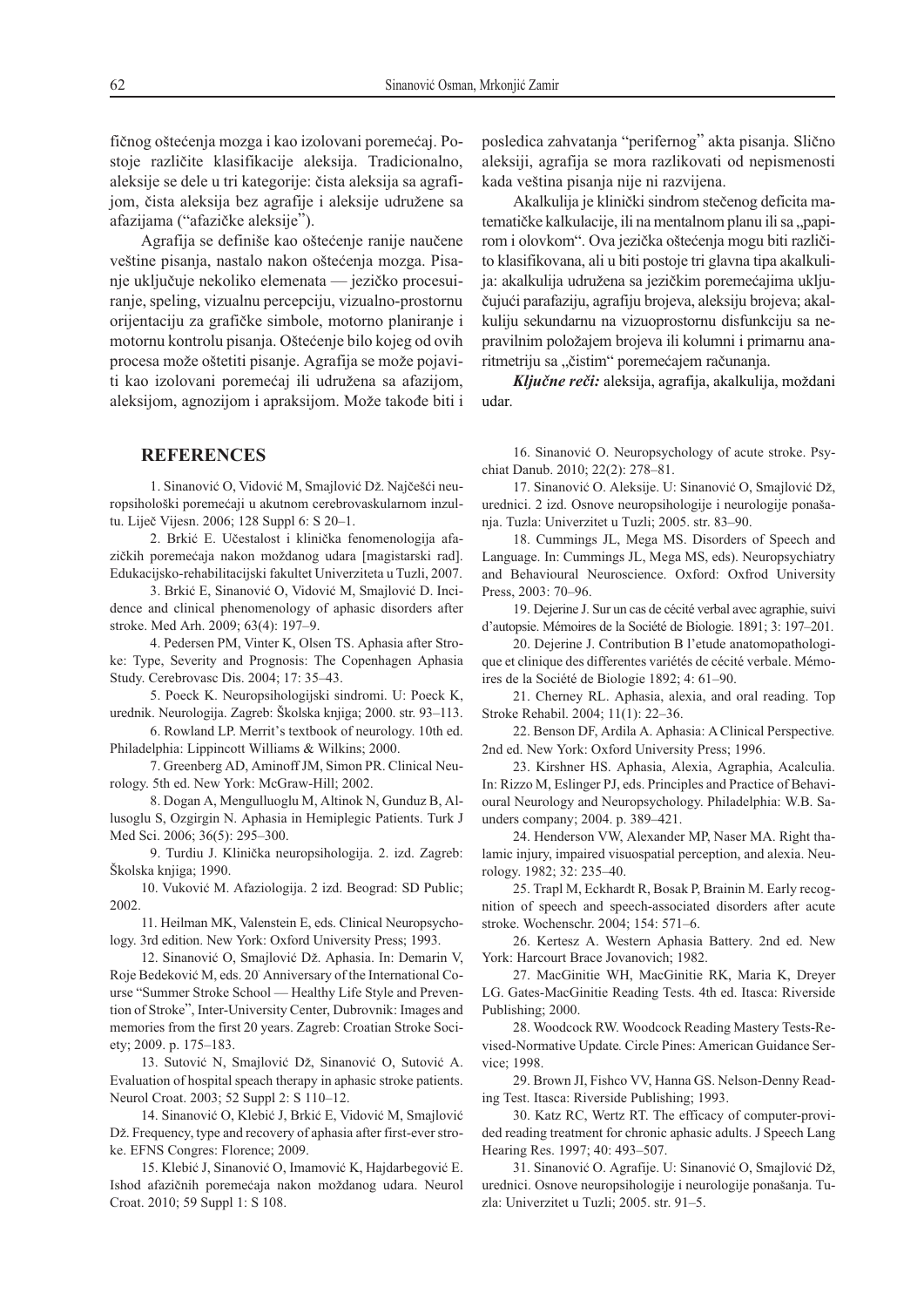fičnog oštećenja mozga i kao izolovani poremećaj. Postoje različite klasifikacije aleksija. Tradicionalno, aleksije se dele u tri kategorije: čista aleksija sa agrafijom, čista aleksija bez agrafije i aleksije udružene sa afazijama ("afazičke aleksije").

Agrafija se definiše kao oštećenje ranije naučene veštine pisanja, nastalo nakon oštećenja mozga. Pisanie uključuje nekoliko elemenata — jezičko procesuiranje, speling, vizualnu percepciju, vizualno-prostornu orijentaciju za grafičke simbole, motorno planiranje i motornu kontrolu pisanja. Oštećenje bilo kojeg od ovih procesa može oštetiti pisanje. Agrafija se može pojaviti kao izolovani poremećaj ili udružena sa afazijom, aleksijom, agnozijom i apraksijom. Može takođe biti i

#### **REFERENCES**

1. Sinanović O, Vidović M, Smajlović Dž. Najčešći neuropsihološki poremećaji u akutnom cerebrovaskularnom inzultu. Liječ Vijesn. 2006; 128 Suppl 6: S 20–1.

2. Brkić E. Učestalost i klinička fenomenologija afazičkih poremećaja nakon moždanog udara [magistarski rad]. Edukacijsko-rehabilitacijski fakultet Univerziteta u Tuzli, 2007.

3. Brkić E, Sinanović O, Vidović M, Smajlović D. Incidence and clinical phenomenology of aphasic disorders after stroke. Med Arh. 2009; 63(4): 197–9.

4. Pedersen PM, Vinter K, Olsen TS. Aphasia after Stroke: Type, Severity and Prognosis: The Copenhagen Aphasia Study. Cerebrovasc Dis. 2004; 17: 35–43.

5. Poeck K. Neuropsihologijski sindromi. U: Poeck K, urednik. Neurologija. Zagreb: Školska knjiga; 2000. str. 93–113.

6. Rowland LP. Merrit's textbook of neurology. 10th ed. Philadelphia: Lippincott Williams & Wilkins; 2000.

7. Greenberg AD, Aminoff JM, Simon PR. Clinical Neurology. 5th ed. New York: McGraw-Hill; 2002.

8. Dogan A, Mengulluoglu M, Altinok N, Gunduz B, Allusoglu S, Ozgirgin N. Aphasia in Hemiplegic Patients. Turk J Med Sci. 2006; 36(5): 295–300.

9. Turdiu J. Klinička neuropsihologija. 2. izd. Zagreb: Školska knjiga; 1990.

10. Vuković M. Afaziologija. 2 izd. Beograd: SD Public; 2002.

11. Heilman MK, Valenstein E, eds. Clinical Neuropsychology. 3rd edition. New York: Oxford University Press; 1993.

12. Sinanović O, Smajlović Dž. Aphasia. In: Demarin V, Roje Bedeković M, eds. 20<sup>t</sup> Anniversary of the International Course "Summer Stroke School — Healthy Life Style and Prevention of Stroke", Inter-University Center, Dubrovnik: Images and memories from the first 20 years. Zagreb: Croatian Stroke Society; 2009. p. 175–183.

13. Sutović N, Smajlović Dž, Sinanović O, Sutović A. Evaluation of hospital speach therapy in aphasic stroke patients. Neurol Croat. 2003; 52 Suppl 2: S 110–12.

14. Sinanović O, Klebić J, Brkić E, Vidović M, Smajlović Dž. Frequency, type and recovery of aphasia after first-ever stroke. EFNS Congres: Florence; 2009.

15. Klebić J, Sinanović O, Imamović K, Hajdarbegović E. Ishod afazičnih poremećaja nakon moždanog udara. Neurol Croat. 2010; 59 Suppl 1: S 108.

posledica zahvatanja "perifernog" akta pisanja. Slično aleksiji, agrafija se mora razlikovati od nepismenosti kada veština pisanja nije ni razvijena.

Akalkulija je klinički sindrom stečenog deficita matematičke kalkulacije, ili na mentalnom planu ili sa "papirom i olovkom". Ova jezička oštećenja mogu biti različito klasifikovana, ali u biti postoje tri glavna tipa akalkulija: akalkulija udružena sa jezičkim poremećajima uključujući parafaziju, agrafiju brojeva, aleksiju brojeva; akalkuliju sekundarnu na vizuoprostornu disfunkciju sa nepravilnim položajem brojeva ili kolumni i primarnu anaritmetriju sa "čistim" poremećajem računanja.

Ključne reči: aleksija, agrafija, akalkulija, moždani udar.

16. Sinanović O. Neuropsychology of acute stroke. Psychiat Danub. 2010; 22(2): 278–81.

17. Sinanović O. Aleksije. U: Sinanović O, Smajlović Dž, urednici. 2 izd. Osnove neuropsihologije i neurologije ponašanja. Tuzla: Univerzitet u Tuzli; 2005. str. 83–90.

18. Cummings JL, Mega MS. Disorders of Speech and Language. In: Cummings JL, Mega MS, eds). Neuropsychiatry and Behavioural Neuroscience. Oxford: Oxfrod University Press, 2003: 70–96.

19. Dejerine J. Sur un cas de cécité verbal avec agraphie, suivi d'autopsie. Mémoires de la Société de Biologie. 1891; 3: 197–201.

20. Dejerine J. Contribution B l'etude anatomopathologique et clinique des differentes variétés de cécité verbale. Mémoires de la Société de Biologie 1892; 4: 61–90.

21. Cherney RL. Aphasia, alexia, and oral reading. Top Stroke Rehabil. 2004; 11(1): 22–36.

22. Benson DF, Ardila A. Aphasia: A Clinical Perspective*.* 2nd ed. New York: Oxford University Press; 1996.

23. Kirshner HS. Aphasia, Alexia, Agraphia, Acalculia. In: Rizzo M, Eslinger PJ, eds. Principles and Practice of Behavioural Neurology and Neuropsychology. Philadelphia: W.B. Saunders company; 2004. p. 389–421.

24. Henderson VW, Alexander MP, Naser MA. Right thalamic injury, impaired visuospatial perception, and alexia. Neurology. 1982; 32: 235–40.

25. Trapl M, Eckhardt R, Bosak P, Brainin M. Early recognition of speech and speech-associated disorders after acute stroke. Wochenschr. 2004; 154: 571–6.

26. Kertesz A. Western Aphasia Battery. 2nd ed. New York: Harcourt Brace Jovanovich; 1982.

27. MacGinitie WH, MacGinitie RK, Maria K, Dreyer LG. Gates-MacGinitie Reading Tests. 4th ed. Itasca: Riverside Publishing; 2000.

28. Woodcock RW. Woodcock Reading Mastery Tests-Revised-Normative Update*.* Circle Pines: American Guidance Service; 1998.

29. Brown JI, Fishco VV, Hanna GS. Nelson-Denny Reading Test. Itasca: Riverside Publishing; 1993.

30. Katz RC, Wertz RT. The efficacy of computer-provided reading treatment for chronic aphasic adults. J Speech Lang Hearing Res. 1997; 40: 493–507.

31. Sinanović O. Agrafije. U: Sinanović O, Smajlović Dž, urednici. Osnove neuropsihologije i neurologije ponašanja. Tuzla: Univerzitet u Tuzli; 2005. str. 91–5.